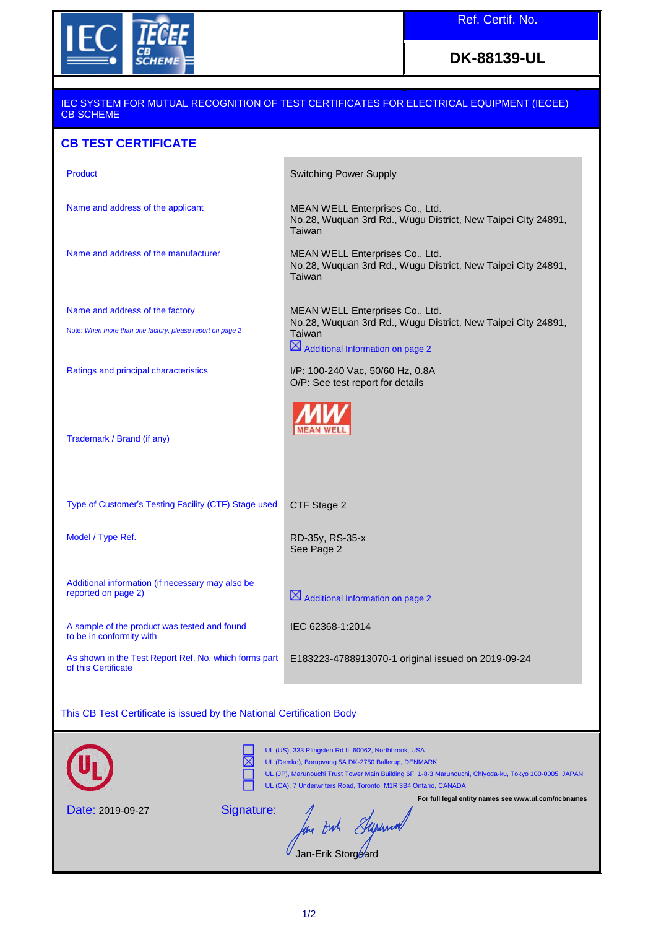

## **DK-88139-UL**

## IEC SYSTEM FOR MUTUAL RECOGNITION OF TEST CERTIFICATES FOR ELECTRICAL EQUIPMENT (IECEE) CB SCHEME **CB TEST CERTIFICATE**  Product **Switching Power Supply** Name and address of the applicant MEAN WELL Enterprises Co., Ltd. No.28, Wuquan 3rd Rd., Wugu District, New Taipei City 24891, Taiwan Name and address of the manufacturer MEAN WELL Enterprises Co., Ltd. No.28, Wuquan 3rd Rd., Wugu District, New Taipei City 24891, **Taiwan** Name and address of the factory MEAN WELL Enterprises Co., Ltd. No.28, Wuquan 3rd Rd., Wugu District, New Taipei City 24891, Note: *When more than one factory, please report on page 2* Taiwan  $\boxtimes$  Additional Information on page 2 Ratings and principal characteristics I/P: 100-240 Vac, 50/60 Hz, 0.8A O/P: See test report for details **MEAN WELL** Trademark / Brand (if any) Type of Customer's Testing Facility (CTF) Stage used CTF Stage 2 Model / Type Ref. **RD-35y, RS-35-x** See Page 2 Additional information (if necessary may also be reported on page 2)  $\boxtimes$  Additional Information on page 2 A sample of the product was tested and found IEC 62368-1:2014 to be in conformity with As shown in the Test Report Ref. No. which forms part E183223-4788913070-1 original issued on 2019-09-24 of this Certificate This CB Test Certificate is issued by the National Certification Body



UL (US), 333 Pfingsten Rd IL 60062, Northbrook, USA

UL (Demko), Borupvang 5A DK-2750 Ballerup, DENMARK

Date: 2019-09-27

UL (JP), Marunouchi Trust Tower Main Building 6F, 1-8-3 Marunouchi, Chiyoda-ku, Tokyo 100-0005, JAPAN UL (CA), 7 Underwriters Road, Toronto, M1R 3B4 Ontario, CANADA

Signature:

In out Syruna

**For full legal entity names see www.ul.com/ncbnames**

Jan-Erik Storgaard